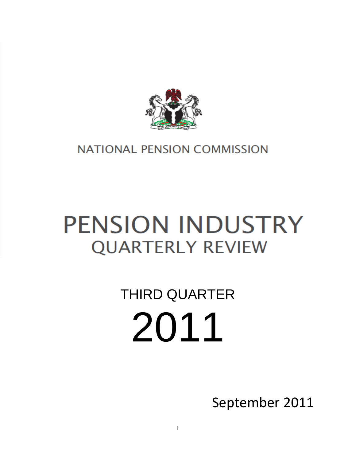

### <span id="page-0-0"></span>**NATIONAL PENSION COMMISSION**

## **PENSION INDUSTRY QUARTERLY REVIEW**

# THIRD QUARTER 2011

September 2011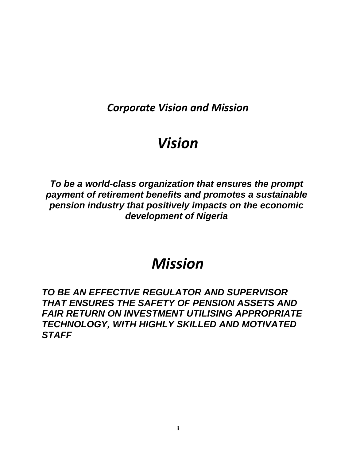*Corporate Vision and Mission*

## *Vision*

*To be a world-class organization that ensures the prompt payment of retirement benefits and promotes a sustainable pension industry that positively impacts on the economic development of Nigeria*

## *Mission*

*TO BE AN EFFECTIVE REGULATOR AND SUPERVISOR THAT ENSURES THE SAFETY OF PENSION ASSETS AND FAIR RETURN ON INVESTMENT UTILISING APPROPRIATE TECHNOLOGY, WITH HIGHLY SKILLED AND MOTIVATED STAFF*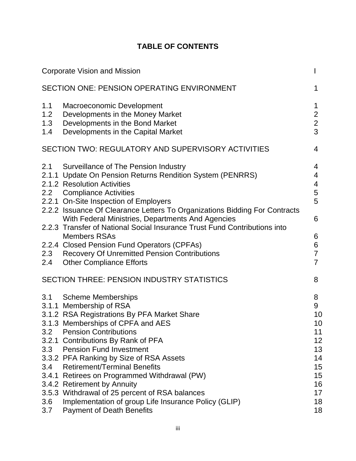#### **TABLE OF CONTENTS**

|                                        | <b>Corporate Vision and Mission</b>                                                                                                                                                                                                                                                                                                                                                                                                                                                                                                                                                    | I                                                                              |
|----------------------------------------|----------------------------------------------------------------------------------------------------------------------------------------------------------------------------------------------------------------------------------------------------------------------------------------------------------------------------------------------------------------------------------------------------------------------------------------------------------------------------------------------------------------------------------------------------------------------------------------|--------------------------------------------------------------------------------|
|                                        | <b>SECTION ONE: PENSION OPERATING ENVIRONMENT</b>                                                                                                                                                                                                                                                                                                                                                                                                                                                                                                                                      | 1                                                                              |
| 1.1<br>1.2<br>1.3<br>1.4               | Macroeconomic Development<br>Developments in the Money Market<br>Developments in the Bond Market<br>Developments in the Capital Market                                                                                                                                                                                                                                                                                                                                                                                                                                                 | 1<br>$\overline{2}$<br>$\overline{2}$<br>3                                     |
|                                        | SECTION TWO: REGULATORY AND SUPERVISORY ACTIVITIES                                                                                                                                                                                                                                                                                                                                                                                                                                                                                                                                     | 4                                                                              |
| 2.1<br>2.3<br>2.4                      | Surveillance of The Pension Industry<br>2.1.1 Update On Pension Returns Rendition System (PENRRS)<br>2.1.2 Resolution Activities<br>2.2 Compliance Activities<br>2.2.1 On-Site Inspection of Employers<br>2.2.2 Issuance Of Clearance Letters To Organizations Bidding For Contracts<br>With Federal Ministries, Departments And Agencies<br>2.2.3 Transfer of National Social Insurance Trust Fund Contributions into<br><b>Members RSAs</b><br>2.2.4 Closed Pension Fund Operators (CPFAs)<br><b>Recovery Of Unremitted Pension Contributions</b><br><b>Other Compliance Efforts</b> | 4<br>4<br>4<br>5<br>5<br>6<br>6<br>6<br>$\overline{7}$<br>$\overline{7}$       |
|                                        | SECTION THREE: PENSION INDUSTRY STATISTICS                                                                                                                                                                                                                                                                                                                                                                                                                                                                                                                                             | 8                                                                              |
| 3.1<br>3.2<br>3.3<br>3.4<br>3.6<br>3.7 | <b>Scheme Memberships</b><br>3.1.1 Membership of RSA<br>3.1.2 RSA Registrations By PFA Market Share<br>3.1.3 Memberships of CPFA and AES<br><b>Pension Contributions</b><br>3.2.1 Contributions By Rank of PFA<br><b>Pension Fund Investment</b><br>3.3.2 PFA Ranking by Size of RSA Assets<br><b>Retirement/Terminal Benefits</b><br>3.4.1 Retirees on Programmed Withdrawal (PW)<br>3.4.2 Retirement by Annuity<br>3.5.3 Withdrawal of 25 percent of RSA balances<br>Implementation of group Life Insurance Policy (GLIP)<br><b>Payment of Death Benefits</b>                        | 8<br>9<br>10<br>10<br>11<br>12<br>13<br>14<br>15<br>15<br>16<br>17<br>18<br>18 |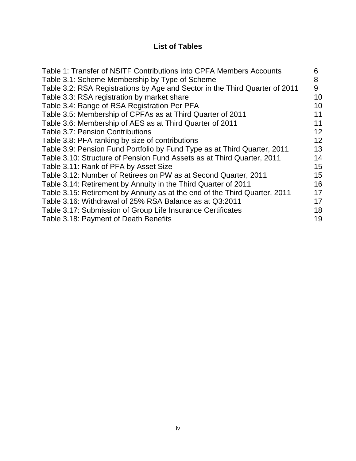#### **List of Tables**

| Table 1: Transfer of NSITF Contributions into CPFA Members Accounts         | 6  |
|-----------------------------------------------------------------------------|----|
| Table 3.1: Scheme Membership by Type of Scheme                              | 8  |
| Table 3.2: RSA Registrations by Age and Sector in the Third Quarter of 2011 | 9  |
| Table 3.3: RSA registration by market share                                 | 10 |
| Table 3.4: Range of RSA Registration Per PFA                                | 10 |
| Table 3.5: Membership of CPFAs as at Third Quarter of 2011                  | 11 |
| Table 3.6: Membership of AES as at Third Quarter of 2011                    | 11 |
| <b>Table 3.7: Pension Contributions</b>                                     | 12 |
| Table 3.8: PFA ranking by size of contributions                             | 12 |
| Table 3.9: Pension Fund Portfolio by Fund Type as at Third Quarter, 2011    | 13 |
| Table 3.10: Structure of Pension Fund Assets as at Third Quarter, 2011      | 14 |
| Table 3.11: Rank of PFA by Asset Size                                       | 15 |
| Table 3.12: Number of Retirees on PW as at Second Quarter, 2011             | 15 |
| Table 3.14: Retirement by Annuity in the Third Quarter of 2011              | 16 |
| Table 3.15: Retirement by Annuity as at the end of the Third Quarter, 2011  | 17 |
| Table 3.16: Withdrawal of 25% RSA Balance as at Q3:2011                     | 17 |
| Table 3.17: Submission of Group Life Insurance Certificates                 | 18 |
| Table 3.18: Payment of Death Benefits                                       | 19 |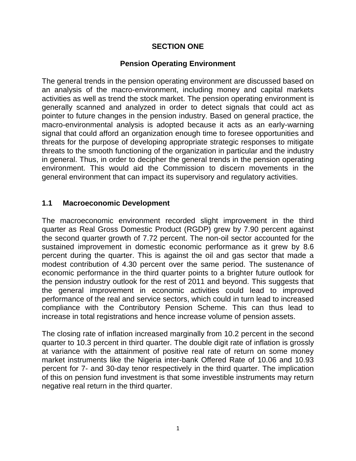#### **SECTION ONE**

#### **Pension Operating Environment**

<span id="page-4-0"></span>The general trends in the pension operating environment are discussed based on an analysis of the macro-environment, including money and capital markets activities as well as trend the stock market. The pension operating environment is generally scanned and analyzed in order to detect signals that could act as pointer to future changes in the pension industry. Based on general practice, the macro-environmental analysis is adopted because it acts as an early-warning signal that could afford an organization enough time to foresee opportunities and threats for the purpose of developing appropriate strategic responses to mitigate threats to the smooth functioning of the organization in particular and the industry in general. Thus, in order to decipher the general trends in the pension operating environment. This would aid the Commission to discern movements in the general environment that can impact its supervisory and regulatory activities.

#### <span id="page-4-1"></span>**1.1 Macroeconomic Development**

The macroeconomic environment recorded slight improvement in the third quarter as Real Gross Domestic Product (RGDP) grew by 7.90 percent against the second quarter growth of 7.72 percent. The non-oil sector accounted for the sustained improvement in domestic economic performance as it grew by 8.6 percent during the quarter. This is against the oil and gas sector that made a modest contribution of 4.30 percent over the same period. The sustenance of economic performance in the third quarter points to a brighter future outlook for the pension industry outlook for the rest of 2011 and beyond. This suggests that the general improvement in economic activities could lead to improved performance of the real and service sectors, which could in turn lead to increased compliance with the Contributory Pension Scheme. This can thus lead to increase in total registrations and hence increase volume of pension assets.

The closing rate of inflation increased marginally from 10.2 percent in the second quarter to 10.3 percent in third quarter. The double digit rate of inflation is grossly at variance with the attainment of positive real rate of return on some money market instruments like the Nigeria inter-bank Offered Rate of 10.06 and 10.93 percent for 7- and 30-day tenor respectively in the third quarter. The implication of this on pension fund investment is that some investible instruments may return negative real return in the third quarter.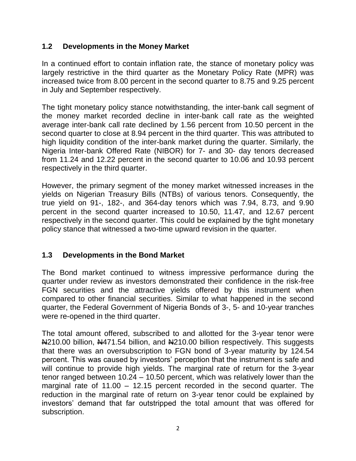#### <span id="page-5-0"></span>**1.2 Developments in the Money Market**

In a continued effort to contain inflation rate, the stance of monetary policy was largely restrictive in the third quarter as the Monetary Policy Rate (MPR) was increased twice from 8.00 percent in the second quarter to 8.75 and 9.25 percent in July and September respectively.

The tight monetary policy stance notwithstanding, the inter-bank call segment of the money market recorded decline in inter-bank call rate as the weighted average inter-bank call rate declined by 1.56 percent from 10.50 percent in the second quarter to close at 8.94 percent in the third quarter. This was attributed to high liquidity condition of the inter-bank market during the quarter. Similarly, the Nigeria Inter-bank Offered Rate (NIBOR) for 7- and 30- day tenors decreased from 11.24 and 12.22 percent in the second quarter to 10.06 and 10.93 percent respectively in the third quarter.

However, the primary segment of the money market witnessed increases in the yields on Nigerian Treasury Bills (NTBs) of various tenors. Consequently, the true yield on 91-, 182-, and 364-day tenors which was 7.94, 8.73, and 9.90 percent in the second quarter increased to 10.50, 11.47, and 12.67 percent respectively in the second quarter. This could be explained by the tight monetary policy stance that witnessed a two-time upward revision in the quarter.

#### <span id="page-5-1"></span>**1.3 Developments in the Bond Market**

The Bond market continued to witness impressive performance during the quarter under review as investors demonstrated their confidence in the risk-free FGN securities and the attractive yields offered by this instrument when compared to other financial securities. Similar to what happened in the second quarter, the Federal Government of Nigeria Bonds of 3-, 5- and 10-year tranches were re-opened in the third quarter.

The total amount offered, subscribed to and allotted for the 3-year tenor were N<sub>210.00</sub> billion, N<sub>471.54</sub> billion, and N<sub>4210.00</sub> billion respectively. This suggests that there was an oversubscription to FGN bond of 3-year maturity by 124.54 percent. This was caused by investors' perception that the instrument is safe and will continue to provide high yields. The marginal rate of return for the 3-year tenor ranged between 10.24 – 10.50 percent, which was relatively lower than the marginal rate of 11.00 – 12.15 percent recorded in the second quarter. The reduction in the marginal rate of return on 3-year tenor could be explained by investors' demand that far outstripped the total amount that was offered for subscription.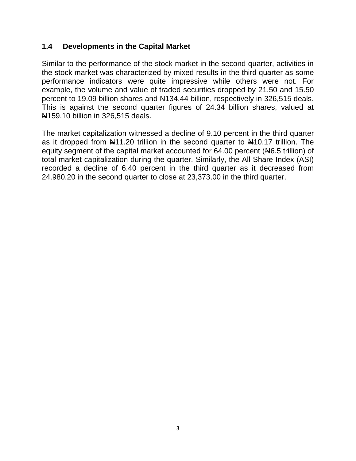#### <span id="page-6-0"></span>**1.4 Developments in the Capital Market**

Similar to the performance of the stock market in the second quarter, activities in the stock market was characterized by mixed results in the third quarter as some performance indicators were quite impressive while others were not. For example, the volume and value of traded securities dropped by 21.50 and 15.50 percent to 19.09 billion shares and  $\mu$ 134.44 billion, respectively in 326,515 deals. This is against the second quarter figures of 24.34 billion shares, valued at N159.10 billion in 326,515 deals.

The market capitalization witnessed a decline of 9.10 percent in the third quarter as it dropped from N11.20 trillion in the second quarter to N10.17 trillion. The equity segment of the capital market accounted for 64.00 percent (N6.5 trillion) of total market capitalization during the quarter. Similarly, the All Share Index (ASI) recorded a decline of 6.40 percent in the third quarter as it decreased from 24.980.20 in the second quarter to close at 23,373.00 in the third quarter.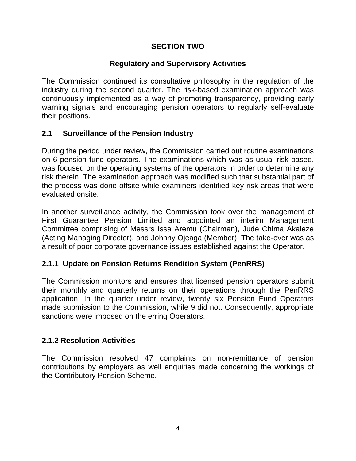#### **SECTION TWO**

#### **Regulatory and Supervisory Activities**

<span id="page-7-0"></span>The Commission continued its consultative philosophy in the regulation of the industry during the second quarter. The risk-based examination approach was continuously implemented as a way of promoting transparency, providing early warning signals and encouraging pension operators to regularly self-evaluate their positions.

#### <span id="page-7-1"></span>**2.1 Surveillance of the Pension Industry**

During the period under review, the Commission carried out routine examinations on 6 pension fund operators. The examinations which was as usual risk-based, was focused on the operating systems of the operators in order to determine any risk therein. The examination approach was modified such that substantial part of the process was done offsite while examiners identified key risk areas that were evaluated onsite.

In another surveillance activity, the Commission took over the management of First Guarantee Pension Limited and appointed an interim Management Committee comprising of Messrs Issa Aremu (Chairman), Jude Chima Akaleze (Acting Managing Director), and Johnny Ojeaga (Member). The take-over was as a result of poor corporate governance issues established against the Operator.

#### <span id="page-7-2"></span>**2.1.1 Update on Pension Returns Rendition System (PenRRS)**

The Commission monitors and ensures that licensed pension operators submit their monthly and quarterly returns on their operations through the PenRRS application. In the quarter under review, twenty six Pension Fund Operators made submission to the Commission, while 9 did not. Consequently, appropriate sanctions were imposed on the erring Operators.

#### <span id="page-7-3"></span>**2.1.2 Resolution Activities**

The Commission resolved 47 complaints on non-remittance of pension contributions by employers as well enquiries made concerning the workings of the Contributory Pension Scheme.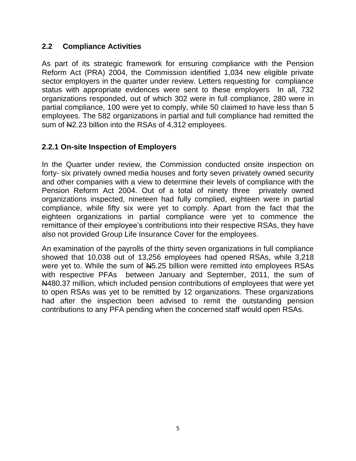#### <span id="page-8-0"></span>**2.2 Compliance Activities**

As part of its strategic framework for ensuring compliance with the Pension Reform Act (PRA) 2004, the Commission identified 1,034 new eligible private sector employers in the quarter under review. Letters requesting for compliance status with appropriate evidences were sent to these employers In all, 732 organizations responded, out of which 302 were in full compliance, 280 were in partial compliance, 100 were yet to comply, while 50 claimed to have less than 5 employees. The 582 organizations in partial and full compliance had remitted the sum of N2.23 billion into the RSAs of 4,312 employees.

#### <span id="page-8-1"></span>**2.2.1 On-site Inspection of Employers**

In the Quarter under review, the Commission conducted onsite inspection on forty- six privately owned media houses and forty seven privately owned security and other companies with a view to determine their levels of compliance with the Pension Reform Act 2004. Out of a total of ninety three privately owned organizations inspected, nineteen had fully complied, eighteen were in partial compliance, while fifty six were yet to comply. Apart from the fact that the eighteen organizations in partial compliance were yet to commence the remittance of their employee's contributions into their respective RSAs, they have also not provided Group Life Insurance Cover for the employees.

An examination of the payrolls of the thirty seven organizations in full compliance showed that 10,038 out of 13,256 employees had opened RSAs, while 3,218 were yet to. While the sum of  $H_{5.25}$  billion were remitted into employees RSAs with respective PFAs between January and September, 2011, the sum of N480.37 million, which included pension contributions of employees that were yet to open RSAs was yet to be remitted by 12 organizations. These organizations had after the inspection been advised to remit the outstanding pension contributions to any PFA pending when the concerned staff would open RSAs.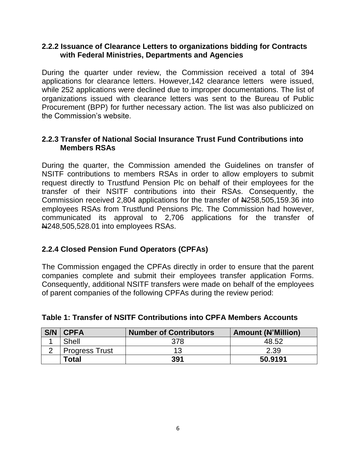#### <span id="page-9-0"></span>**2.2.2 Issuance of Clearance Letters to organizations bidding for Contracts with Federal Ministries, Departments and Agencies**

During the quarter under review, the Commission received a total of 394 applications for clearance letters. However,142 clearance letters were issued, while 252 applications were declined due to improper documentations. The list of organizations issued with clearance letters was sent to the Bureau of Public Procurement (BPP) for further necessary action. The list was also publicized on the Commission's website.

#### <span id="page-9-1"></span>**2.2.3 Transfer of National Social Insurance Trust Fund Contributions into Members RSAs**

During the quarter, the Commission amended the Guidelines on transfer of NSITF contributions to members RSAs in order to allow employers to submit request directly to Trustfund Pension Plc on behalf of their employees for the transfer of their NSITF contributions into their RSAs. Consequently, the Commission received 2,804 applications for the transfer of N258,505,159.36 into employees RSAs from Trustfund Pensions Plc. The Commission had however, communicated its approval to 2,706 applications for the transfer of **N248,505,528.01 into employees RSAs.** 

#### <span id="page-9-2"></span>**2.2.4 Closed Pension Fund Operators (CPFAs)**

The Commission engaged the CPFAs directly in order to ensure that the parent companies complete and submit their employees transfer application Forms. Consequently, additional NSITF transfers were made on behalf of the employees of parent companies of the following CPFAs during the review period:

| S/N | <b>CPFA</b>           | <b>Number of Contributors</b> | <b>Amount (N'Million)</b> |
|-----|-----------------------|-------------------------------|---------------------------|
|     | Shell                 | 378                           | 48.52                     |
|     | <b>Progress Trust</b> |                               | 2.39                      |
|     | Total                 | 391                           | 50.9191                   |

#### <span id="page-9-3"></span>**Table 1: Transfer of NSITF Contributions into CPFA Members Accounts**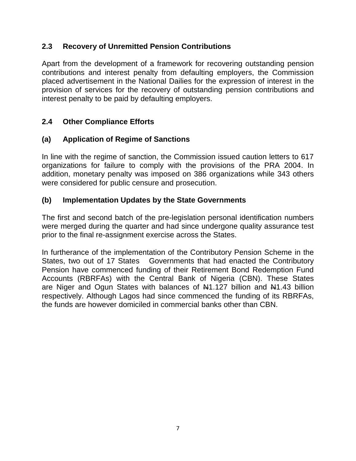#### <span id="page-10-0"></span>**2.3 Recovery of Unremitted Pension Contributions**

Apart from the development of a framework for recovering outstanding pension contributions and interest penalty from defaulting employers, the Commission placed advertisement in the National Dailies for the expression of interest in the provision of services for the recovery of outstanding pension contributions and interest penalty to be paid by defaulting employers.

#### <span id="page-10-1"></span>**2.4 Other Compliance Efforts**

#### **(a) Application of Regime of Sanctions**

In line with the regime of sanction, the Commission issued caution letters to 617 organizations for failure to comply with the provisions of the PRA 2004. In addition, monetary penalty was imposed on 386 organizations while 343 others were considered for public censure and prosecution.

#### **(b) Implementation Updates by the State Governments**

The first and second batch of the pre-legislation personal identification numbers were merged during the quarter and had since undergone quality assurance test prior to the final re-assignment exercise across the States.

In furtherance of the implementation of the Contributory Pension Scheme in the States, two out of 17 States Governments that had enacted the Contributory Pension have commenced funding of their Retirement Bond Redemption Fund Accounts (RBRFAs) with the Central Bank of Nigeria (CBN). These States are Niger and Ogun States with balances of  $\mu$ 1.127 billion and  $\mu$ 1.43 billion respectively. Although Lagos had since commenced the funding of its RBRFAs, the funds are however domiciled in commercial banks other than CBN.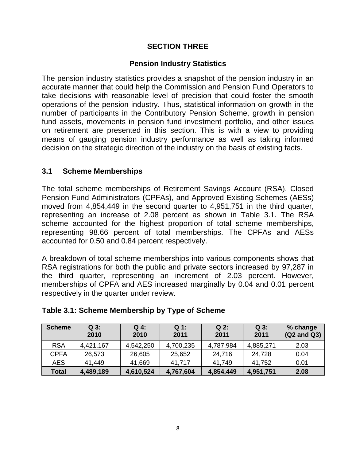#### **SECTION THREE**

#### **Pension Industry Statistics**

<span id="page-11-0"></span>The pension industry statistics provides a snapshot of the pension industry in an accurate manner that could help the Commission and Pension Fund Operators to take decisions with reasonable level of precision that could foster the smooth operations of the pension industry. Thus, statistical information on growth in the number of participants in the Contributory Pension Scheme, growth in pension fund assets, movements in pension fund investment portfolio, and other issues on retirement are presented in this section. This is with a view to providing means of gauging pension industry performance as well as taking informed decision on the strategic direction of the industry on the basis of existing facts.

#### <span id="page-11-1"></span>**3.1 Scheme Memberships**

The total scheme memberships of Retirement Savings Account (RSA), Closed Pension Fund Administrators (CPFAs), and Approved Existing Schemes (AESs) moved from 4,854,449 in the second quarter to 4,951,751 in the third quarter, representing an increase of 2.08 percent as shown in Table 3.1. The RSA scheme accounted for the highest proportion of total scheme memberships, representing 98.66 percent of total memberships. The CPFAs and AESs accounted for 0.50 and 0.84 percent respectively.

A breakdown of total scheme memberships into various components shows that RSA registrations for both the public and private sectors increased by 97,287 in the third quarter, representing an increment of 2.03 percent. However, memberships of CPFA and AES increased marginally by 0.04 and 0.01 percent respectively in the quarter under review.

| <b>Scheme</b> | $Q_3$ :<br>2010 | Q 4:<br>2010 | $Q_1$ :<br>2011 | $Q2$ :<br>2011 | $Q_3$ :<br>2011 | % change<br>(Q2 and Q3) |
|---------------|-----------------|--------------|-----------------|----------------|-----------------|-------------------------|
| <b>RSA</b>    | 4,421,167       | 4,542,250    | 4,700,235       | 4,787,984      | 4,885,271       | 2.03                    |
| <b>CPFA</b>   | 26,573          | 26,605       | 25,652          | 24,716         | 24,728          | 0.04                    |
| AES.          | 41,449          | 41,669       | 41,717          | 41.749         | 41,752          | 0.01                    |
| <b>Total</b>  | 4,489,189       | 4,610,524    | 4,767,604       | 4,854,449      | 4,951,751       | 2.08                    |

#### <span id="page-11-2"></span>**Table 3.1: Scheme Membership by Type of Scheme**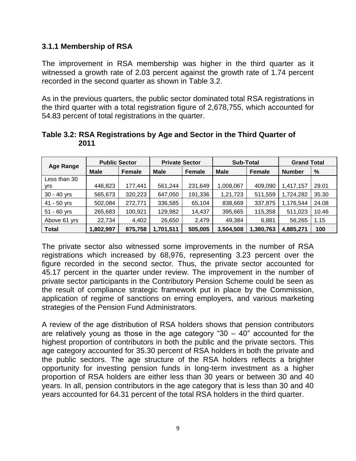#### <span id="page-12-0"></span>**3.1.1 Membership of RSA**

The improvement in RSA membership was higher in the third quarter as it witnessed a growth rate of 2.03 percent against the growth rate of 1.74 percent recorded in the second quarter as shown in Table 3.2.

As in the previous quarters, the public sector dominated total RSA registrations in the third quarter with a total registration figure of 2,678,755, which accounted for 54.83 percent of total registrations in the quarter.

| <b>Age Range</b> | <b>Public Sector</b> |               | <b>Private Sector</b> |               | <b>Sub-Total</b> |               | <b>Grand Total</b> |       |
|------------------|----------------------|---------------|-----------------------|---------------|------------------|---------------|--------------------|-------|
|                  | <b>Male</b>          | <b>Female</b> | Male                  | <b>Female</b> | <b>Male</b>      | <b>Female</b> | <b>Number</b>      | %     |
| Less than 30     |                      |               |                       |               |                  |               |                    |       |
| yrs              | 446,823              | 177,441       | 561,244               | 231,649       | 1,008,067        | 409,090       | 1,417,157          | 29.01 |
| 30 - 40 yrs      | 565,673              | 320,223       | 647,050               | 191,336       | 1,21,723         | 511,559       | 1,724,282          | 35.30 |
| 41 - 50 yrs      | 502,084              | 272,771       | 336,585               | 65,104        | 838,669          | 337,875       | 1,176,544          | 24.08 |
| $51 - 60$ yrs    | 265,683              | 100,921       | 129,982               | 14,437        | 395,665          | 115,358       | 511,023            | 10.46 |
| Above 61 yrs     | 22,734               | 4,402         | 26,650                | 2,479         | 49,384           | 6,881         | 56,265             | 1.15  |
| <b>Total</b>     | 1,802,997            | 875,758       | 1,701,511             | 505,005       | 3,504,508        | 1,380,763     | 4,885,271          | 100   |

<span id="page-12-1"></span>**Table 3.2: RSA Registrations by Age and Sector in the Third Quarter of 2011**

The private sector also witnessed some improvements in the number of RSA registrations which increased by 68,976, representing 3.23 percent over the figure recorded in the second sector. Thus, the private sector accounted for 45.17 percent in the quarter under review. The improvement in the number of private sector participants in the Contributory Pension Scheme could be seen as the result of compliance strategic framework put in place by the Commission, application of regime of sanctions on erring employers, and various marketing strategies of the Pension Fund Administrators.

A review of the age distribution of RSA holders shows that pension contributors are relatively young as those in the age category "30  $-$  40" accounted for the highest proportion of contributors in both the public and the private sectors. This age category accounted for 35.30 percent of RSA holders in both the private and the public sectors. The age structure of the RSA holders reflects a brighter opportunity for investing pension funds in long-term investment as a higher proportion of RSA holders are either less than 30 years or between 30 and 40 years. In all, pension contributors in the age category that is less than 30 and 40 years accounted for 64.31 percent of the total RSA holders in the third quarter.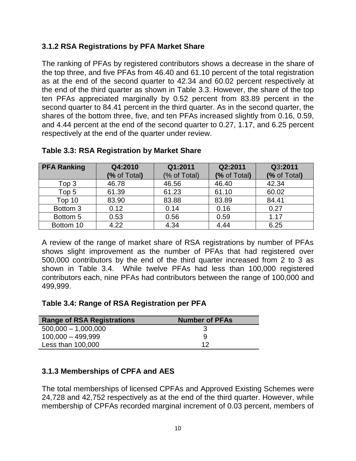#### <span id="page-13-0"></span>**3.1.2 RSA Registrations by PFA Market Share**

The ranking of PFAs by registered contributors shows a decrease in the share of the top three, and five PFAs from 46.40 and 61.10 percent of the total registration as at the end of the second quarter to 42.34 and 60.02 percent respectively at the end of the third quarter as shown in Table 3.3. However, the share of the top ten PFAs appreciated marginally by 0.52 percent from 83.89 percent in the second quarter to 84.41 percent in the third quarter. As in the second quarter, the shares of the bottom three, five, and ten PFAs increased slightly from 0.16, 0.59, and 4.44 percent at the end of the second quarter to 0.27, 1.17, and 6.25 percent respectively at the end of the quarter under review.

| <b>PFA Ranking</b> | Q4:2010      | Q1:2011      | Q2:2011      | Q3:2011      |
|--------------------|--------------|--------------|--------------|--------------|
|                    | (% of Total) | (% of Total) | (% of Total) | (% of Total) |
| Top 3              | 46.78        | 46.56        | 46.40        | 42.34        |
| Top 5              | 61.39        | 61.23        | 61.10        | 60.02        |
| Top 10             | 83.90        | 83.88        | 83.89        | 84.41        |
| Bottom 3           | 0.12         | 0.14         | 0.16         | 0.27         |
| Bottom 5           | 0.53         | 0.56         | 0.59         | 1.17         |
| Bottom 10          | 4.22         | 4.34         | 4.44         | 6.25         |

#### <span id="page-13-2"></span>**Table 3.3: RSA Registration by Market Share**

A review of the range of market share of RSA registrations by number of PFAs shows slight improvement as the number of PFAs that had registered over 500,000 contributors by the end of the third quarter increased from 2 to 3 as shown in Table 3.4. While twelve PFAs had less than 100,000 registered contributors each, nine PFAs had contributors between the range of 100,000 and 499,999.

#### <span id="page-13-3"></span>**Table 3.4: Range of RSA Registration per PFA**

| <b>Range of RSA Registrations</b> | <b>Number of PFAs</b> |
|-----------------------------------|-----------------------|
| $500,000 - 1,000,000$             |                       |
| $100,000 - 499,999$               |                       |
| Less than 100,000                 | 12                    |

#### <span id="page-13-1"></span>**3.1.3 Memberships of CPFA and AES**

The total memberships of licensed CPFAs and Approved Existing Schemes were 24,728 and 42,752 respectively as at the end of the third quarter. However, while membership of CPFAs recorded marginal increment of 0.03 percent, members of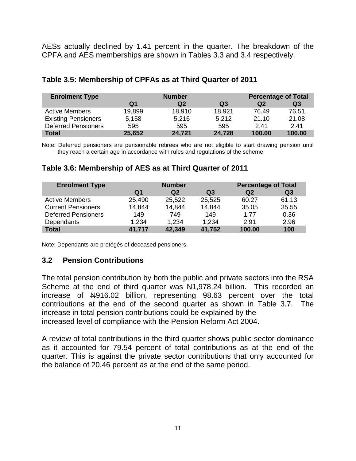AESs actually declined by 1.41 percent in the quarter. The breakdown of the CPFA and AES memberships are shown in Tables 3.3 and 3.4 respectively.

| <b>Enrolment Type</b>      |        | <b>Number</b> | <b>Percentage of Total</b> |        |        |
|----------------------------|--------|---------------|----------------------------|--------|--------|
|                            | Q1     | Q2            | Q <sub>3</sub>             | Q2     | Q3     |
| <b>Active Members</b>      | 19,899 | 18,910        | 18,921                     | 76.49  | 76.51  |
| <b>Existing Pensioners</b> | 5,158  | 5,216         | 5,212                      | 21.10  | 21.08  |
| <b>Deferred Pensioners</b> | 595    | 595           | 595                        | 2.41   | 2.41   |
| <b>Total</b>               | 25,652 | 24,721        | 24,728                     | 100.00 | 100.00 |

#### <span id="page-14-1"></span>**Table 3.5: Membership of CPFAs as at Third Quarter of 2011**

Note: Deferred pensioners are pensionable retirees who are not eligible to start drawing pension until they reach a certain age in accordance with rules and regulations of the scheme.

#### <span id="page-14-2"></span>**Table 3.6: Membership of AES as at Third Quarter of 2011**

| <b>Enrolment Type</b>      | <b>Number</b> |                |        | <b>Percentage of Total</b> |                |  |
|----------------------------|---------------|----------------|--------|----------------------------|----------------|--|
|                            | Q1            | Q <sub>2</sub> | Q3     | Q <sub>2</sub>             | Q <sub>3</sub> |  |
| <b>Active Members</b>      | 25,490        | 25,522         | 25,525 | 60.27                      | 61.13          |  |
| <b>Current Pensioners</b>  | 14,844        | 14,844         | 14,844 | 35.05                      | 35.55          |  |
| <b>Deferred Pensioners</b> | 149           | 749            | 149    | 1.77                       | 0.36           |  |
| Dependants                 | 1,234         | 1.234          | 1,234  | 2.91                       | 2.96           |  |
| <b>Total</b>               | 41,717        | 42,349         | 41,752 | 100.00                     | 100            |  |

Note: Dependants are protégés of deceased pensioners.

#### <span id="page-14-0"></span>**3.2 Pension Contributions**

The total pension contribution by both the public and private sectors into the RSA Scheme at the end of third quarter was  $\frac{141,978.24}{1000}$  billion. This recorded an increase of N916.02 billion, representing 98.63 percent over the total contributions at the end of the second quarter as shown in Table 3.7. The increase in total pension contributions could be explained by the increased level of compliance with the Pension Reform Act 2004.

A review of total contributions in the third quarter shows public sector dominance as it accounted for 79.54 percent of total contributions as at the end of the quarter. This is against the private sector contributions that only accounted for the balance of 20.46 percent as at the end of the same period.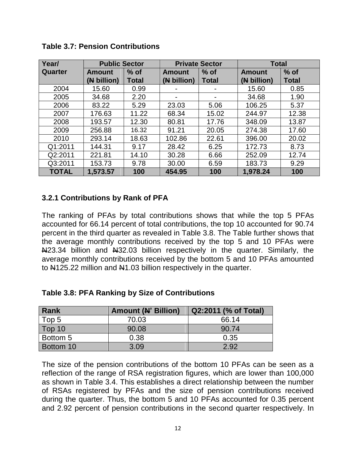| Year/        |               | <b>Public Sector</b> |                | <b>Private Sector</b> | <b>Total</b>  |              |
|--------------|---------------|----------------------|----------------|-----------------------|---------------|--------------|
| Quarter      | <b>Amount</b> | $%$ of               | <b>Amount</b>  | $%$ of                | <b>Amount</b> | $%$ of       |
|              | (N billion)   | <b>Total</b>         | (N billion)    | <b>Total</b>          | (N billion)   | <b>Total</b> |
| 2004         | 15.60         | 0.99                 |                |                       | 15.60         | 0.85         |
| 2005         | 34.68         | 2.20                 | $\blacksquare$ | $\blacksquare$        | 34.68         | 1.90         |
| 2006         | 83.22         | 5.29                 | 23.03          | 5.06                  | 106.25        | 5.37         |
| 2007         | 176.63        | 11.22                | 68.34          | 15.02                 | 244.97        | 12.38        |
| 2008         | 193.57        | 12.30                | 80.81          | 17.76                 | 348.09        | 13.87        |
| 2009         | 256.88        | 16.32                | 91.21          | 20.05                 | 274.38        | 17.60        |
| 2010         | 293.14        | 18.63                | 102.86         | 22.61                 | 396.00        | 20.02        |
| Q1:2011      | 144.31        | 9.17                 | 28.42          | 6.25                  | 172.73        | 8.73         |
| Q2:2011      | 221.81        | 14.10                | 30.28          | 6.66                  | 252.09        | 12.74        |
| Q3:2011      | 153.73        | 9.78                 | 30.00          | 6.59                  | 183.73        | 9.29         |
| <b>TOTAL</b> | 1,573.57      | 100                  | 454.95         | 100                   | 1,978.24      | 100          |

<span id="page-15-1"></span>**Table 3.7: Pension Contributions**

#### <span id="page-15-0"></span>**3.2.1 Contributions by Rank of PFA**

The ranking of PFAs by total contributions shows that while the top 5 PFAs accounted for 66.14 percent of total contributions, the top 10 accounted for 90.74 percent in the third quarter as revealed in Table 3.8. The Table further shows that the average monthly contributions received by the top 5 and 10 PFAs were N<sub>423.34</sub> billion and N<sub>432.03</sub> billion respectively in the quarter. Similarly, the average monthly contributions received by the bottom 5 and 10 PFAs amounted to N125.22 million and N1.03 billion respectively in the quarter.

| Rank      | <b>Amount (N' Billion)</b> | Q2:2011 (% of Total) |
|-----------|----------------------------|----------------------|
| Top 5     | 70.03                      | 66.14                |
| Top 10    | 90.08                      | 90.74                |
| Bottom 5  | 0.38                       | 0.35                 |
| Bottom 10 | 3.09                       | 2.92                 |

<span id="page-15-2"></span>**Table 3.8: PFA Ranking by Size of Contributions**

The size of the pension contributions of the bottom 10 PFAs can be seen as a reflection of the range of RSA registration figures, which are lower than 100,000 as shown in Table 3.4. This establishes a direct relationship between the number of RSAs registered by PFAs and the size of pension contributions received during the quarter. Thus, the bottom 5 and 10 PFAs accounted for 0.35 percent and 2.92 percent of pension contributions in the second quarter respectively. In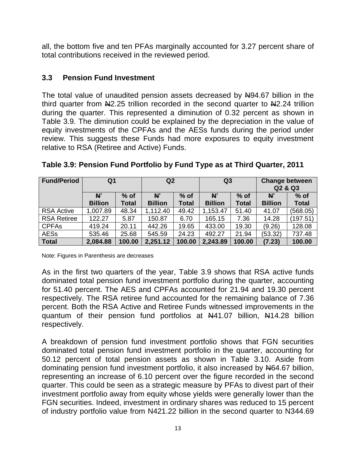all, the bottom five and ten PFAs marginally accounted for 3.27 percent share of total contributions received in the reviewed period.

#### <span id="page-16-0"></span>**3.3 Pension Fund Investment**

The total value of unaudited pension assets decreased by  $N94.67$  billion in the third quarter from  $\mathbb{H}2.25$  trillion recorded in the second quarter to  $\mathbb{H}2.24$  trillion during the quarter. This represented a diminution of 0.32 percent as shown in Table 3.9. The diminution could be explained by the depreciation in the value of equity investments of the CPFAs and the AESs funds during the period under review. This suggests these Funds had more exposures to equity investment relative to RSA (Retiree and Active) Funds.

| <b>Fund/Period</b> | Q1                   |                        | Q2                   |                        | Q <sub>3</sub>       |                        | <b>Change between</b><br>Q2 & Q3 |                        |
|--------------------|----------------------|------------------------|----------------------|------------------------|----------------------|------------------------|----------------------------------|------------------------|
|                    | N'<br><b>Billion</b> | $%$ of<br><b>Total</b> | N'<br><b>Billion</b> | $%$ of<br><b>Total</b> | N'<br><b>Billion</b> | $%$ of<br><b>Total</b> | N'<br><b>Billion</b>             | $%$ of<br><b>Total</b> |
| <b>RSA Active</b>  | 1,007.89             | 48.34                  | 1,112.40             | 49.42                  | 1,153.47             | 51.40                  | 41.07                            | (568.05)               |
| <b>RSA Retiree</b> | 122.27               | 5.87                   | 150.87               | 6.70                   | 165.15               | 7.36                   | 14.28                            | (197.51                |
| <b>CPFAs</b>       | 419.24               | 20.11                  | 442.26               | 19.65                  | 433.00               | 19.30                  | (9.26)                           | 128.08                 |
| <b>AESs</b>        | 535.46               | 25.68                  | 545.59               | 24.23                  | 492.27               | 21.94                  | (53.32)                          | 737.48                 |
| <b>Total</b>       | 2,084.88             | 100.00                 | 2,251.12             | 100.00                 | 2,243.89             | 100.00                 | (7.23)                           | 100.00                 |

#### <span id="page-16-1"></span>**Table 3.9: Pension Fund Portfolio by Fund Type as at Third Quarter, 2011**

Note: Figures in Parenthesis are decreases

As in the first two quarters of the year, Table 3.9 shows that RSA active funds dominated total pension fund investment portfolio during the quarter, accounting for 51.40 percent. The AES and CPFAs accounted for 21.94 and 19.30 percent respectively. The RSA retiree fund accounted for the remaining balance of 7.36 percent. Both the RSA Active and Retiree Funds witnessed improvements in the quantum of their pension fund portfolios at N41.07 billion, N14.28 billion respectively.

A breakdown of pension fund investment portfolio shows that FGN securities dominated total pension fund investment portfolio in the quarter, accounting for 50.12 percent of total pension assets as shown in Table 3.10. Aside from dominating pension fund investment portfolio, it also increased by  $\frac{1000}{1000}$ , representing an increase of 6.10 percent over the figure recorded in the second quarter. This could be seen as a strategic measure by PFAs to divest part of their investment portfolio away from equity whose yields were generally lower than the FGN securities. Indeed, investment in ordinary shares was reduced to 15 percent of industry portfolio value from N421.22 billion in the second quarter to N344.69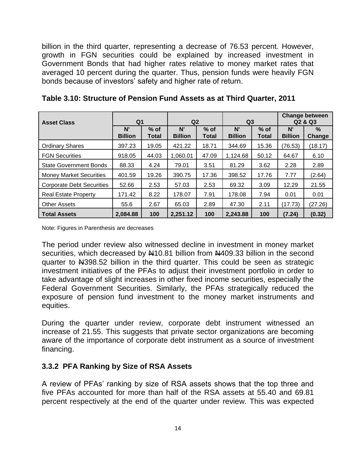billion in the third quarter, representing a decrease of 76.53 percent. However, growth in FGN securities could be explained by increased investment in Government Bonds that had higher rates relative to money market rates that averaged 10 percent during the quarter. Thus, pension funds were heavily FGN bonds because of investors' safety and higher rate of return.

| <b>Asset Class</b>               | Q <sub>1</sub>       |                 |                      | Q <sub>2</sub><br>Q <sub>3</sub> |                      | <b>Change between</b><br>Q <sub>2</sub> & Q <sub>3</sub> |                      |                       |
|----------------------------------|----------------------|-----------------|----------------------|----------------------------------|----------------------|----------------------------------------------------------|----------------------|-----------------------|
|                                  | N'<br><b>Billion</b> | $%$ of<br>Total | N'<br><b>Billion</b> | $%$ of<br>Total                  | N'<br><b>Billion</b> | $%$ of<br>Total                                          | N'<br><b>Billion</b> | $\%$<br><b>Change</b> |
| <b>Ordinary Shares</b>           | 397.23               | 19.05           | 421.22               | 18.71                            | 344.69               | 15.36                                                    | (76.53)              | (18.17)               |
| <b>FGN Securities</b>            | 918.05               | 44.03           | 1,060.01             | 47.09                            | 1,124.68             | 50.12                                                    | 64.67                | 6.10                  |
| <b>State Government Bonds</b>    | 88.33                | 4.24            | 79.01                | 3.51                             | 81.29                | 3.62                                                     | 2.28                 | 2.89                  |
| <b>Money Market Securities</b>   | 401.59               | 19.26           | 390.75               | 17.36                            | 398.52               | 17.76                                                    | 7.77                 | (2.64)                |
| <b>Corporate Debt Securities</b> | 52.66                | 2.53            | 57.03                | 2.53                             | 69.32                | 3.09                                                     | 12.29                | 21.55                 |
| <b>Real Estate Property</b>      | 171.42               | 8.22            | 178.07               | 7.91                             | 178.08               | 7.94                                                     | 0.01                 | 0.01                  |
| <b>Other Assets</b>              | 55.6                 | 2.67            | 65.03                | 2.89                             | 47.30                | 2.11                                                     | (17.73)              | (27.26)               |
| <b>Total Assets</b>              | 2.084.88             | 100             | 2,251.12             | 100                              | 2,243.88             | 100                                                      | (7.24)               | (0.32)                |

<span id="page-17-1"></span>**Table 3.10: Structure of Pension Fund Assets as at Third Quarter, 2011**

Note: Figures in Parenthesis are decreases

The period under review also witnessed decline in investment in money market securities, which decreased by  $\mu$ 10.81 billion from  $\mu$ 409.33 billion in the second quarter to N398.52 billion in the third quarter. This could be seen as strategic investment initiatives of the PFAs to adjust their investment portfolio in order to take advantage of slight increases in other fixed income securities, especially the Federal Government Securities. Similarly, the PFAs strategically reduced the exposure of pension fund investment to the money market instruments and equities.

During the quarter under review, corporate debt instrument witnessed an increase of 21.55. This suggests that private sector organizations are becoming aware of the importance of corporate debt instrument as a source of investment financing.

#### <span id="page-17-0"></span>**3.3.2 PFA Ranking by Size of RSA Assets**

A review of PFAs' ranking by size of RSA assets shows that the top three and five PFAs accounted for more than half of the RSA assets at 55.40 and 69.81 percent respectively at the end of the quarter under review. This was expected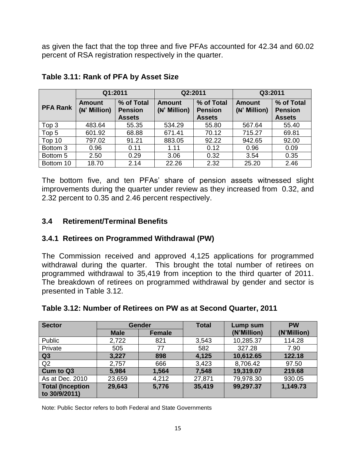as given the fact that the top three and five PFAs accounted for 42.34 and 60.02 percent of RSA registration respectively in the quarter.

|                 | Q1:2011                |                                               | Q2:2011                       |                                               | Q3:2011                       |                                               |
|-----------------|------------------------|-----------------------------------------------|-------------------------------|-----------------------------------------------|-------------------------------|-----------------------------------------------|
| <b>PFA Rank</b> | Amount<br>(N' Million) | % of Total<br><b>Pension</b><br><b>Assets</b> | <b>Amount</b><br>(N' Million) | % of Total<br><b>Pension</b><br><b>Assets</b> | <b>Amount</b><br>(N' Million) | % of Total<br><b>Pension</b><br><b>Assets</b> |
| Top 3           | 483.64                 | 55.35                                         | 534.29                        | 55.80                                         | 567.64                        | 55.40                                         |
| Top 5           | 601.92                 | 68.88                                         | 671.41                        | 70.12                                         | 715.27                        | 69.81                                         |
| Top 10          | 797.02                 | 91.21                                         | 883.05                        | 92.22                                         | 942.65                        | 92.00                                         |
| Bottom 3        | 0.96                   | 0.11                                          | 1.11                          | 0.12                                          | 0.96                          | 0.09                                          |
| Bottom 5        | 2.50                   | 0.29                                          | 3.06                          | 0.32                                          | 3.54                          | 0.35                                          |
| Bottom 10       | 18.70                  | 2.14                                          | 22.26                         | 2.32                                          | 25.20                         | 2.46                                          |

#### <span id="page-18-2"></span>**Table 3.11: Rank of PFA by Asset Size**

The bottom five, and ten PFAs' share of pension assets witnessed slight improvements during the quarter under review as they increased from 0.32, and 2.32 percent to 0.35 and 2.46 percent respectively.

#### <span id="page-18-0"></span>**3.4 Retirement/Terminal Benefits**

#### <span id="page-18-1"></span>**3.4.1 Retirees on Programmed Withdrawal (PW)**

The Commission received and approved 4,125 applications for programmed withdrawal during the quarter. This brought the total number of retirees on programmed withdrawal to 35,419 from inception to the third quarter of 2011. The breakdown of retirees on programmed withdrawal by gender and sector is presented in Table 3.12.

| <b>Sector</b>                            |             | <b>Gender</b> | <b>Total</b> | Lump sum    | <b>PW</b>   |  |
|------------------------------------------|-------------|---------------|--------------|-------------|-------------|--|
|                                          | <b>Male</b> | <b>Female</b> |              | (N'Million) | (N'Million) |  |
| Public                                   | 2,722       | 821           | 3,543        | 10,285.37   | 114.28      |  |
| Private                                  | 505         | 77            | 582          | 327.28      | 7.90        |  |
| $\overline{Q}3$                          | 3,227       | 898           | 4,125        | 10,612.65   | 122.18      |  |
| Q2                                       | 2,757       | 666           | 3,423        | 8,706.42    | 97.50       |  |
| Cum to Q3                                | 5,984       | 1,564         | 7,548        | 19,319.07   | 219.68      |  |
| As at Dec. 2010                          | 23,659      | 4,212         | 27,871       | 79,978.30   | 930.05      |  |
| <b>Total (Inception</b><br>to 30/9/2011) | 29,643      | 5,776         | 35,419       | 99,297.37   | 1,149.73    |  |

#### <span id="page-18-3"></span>**Table 3.12: Number of Retirees on PW as at Second Quarter, 2011**

Note: Public Sector refers to both Federal and State Governments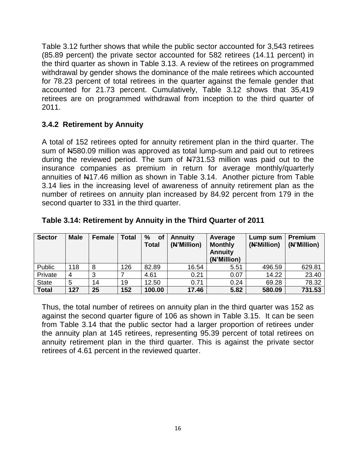Table 3.12 further shows that while the public sector accounted for 3,543 retirees (85.89 percent) the private sector accounted for 582 retirees (14.11 percent) in the third quarter as shown in Table 3.13. A review of the retirees on programmed withdrawal by gender shows the dominance of the male retirees which accounted for 78.23 percent of total retirees in the quarter against the female gender that accounted for 21.73 percent. Cumulatively, Table 3.12 shows that 35,419 retirees are on programmed withdrawal from inception to the third quarter of 2011.

#### <span id="page-19-0"></span>**3.4.2 Retirement by Annuity**

A total of 152 retirees opted for annuity retirement plan in the third quarter. The sum of N580.09 million was approved as total lump-sum and paid out to retirees during the reviewed period. The sum of  $\frac{12731.53}{1000}$  million was paid out to the insurance companies as premium in return for average monthly/quarterly annuities of N17.46 million as shown in Table 3.14. Another picture from Table 3.14 lies in the increasing level of awareness of annuity retirement plan as the number of retirees on annuity plan increased by 84.92 percent from 179 in the second quarter to 331 in the third quarter.

| <b>Sector</b> | <b>Male</b> | Female | <b>Total</b> | %<br>of<br><b>Total</b> | <b>Annuity</b><br>(N'Million) | Average<br><b>Monthly</b><br><b>Annuity</b><br>(N'Million) | Lump sum<br>(N'Million) | <b>Premium</b><br>(N'Million) |
|---------------|-------------|--------|--------------|-------------------------|-------------------------------|------------------------------------------------------------|-------------------------|-------------------------------|
| Public        | 118         | 8      | 126          | 82.89                   | 16.54                         | 5.51                                                       | 496.59                  | 629.81                        |
| Private       | 4           | 3      |              | 4.61                    | 0.21                          | 0.07                                                       | 14.22                   | 23.40                         |
| <b>State</b>  | 5           | 14     | 19           | 12.50                   | 0.71                          | 0.24                                                       | 69.28                   | 78.32                         |
| <b>Total</b>  | 127         | 25     | 152          | 100.00                  | 17.46                         | 5.82                                                       | 580.09                  | 731.53                        |

#### <span id="page-19-1"></span>**Table 3.14: Retirement by Annuity in the Third Quarter of 2011**

Thus, the total number of retirees on annuity plan in the third quarter was 152 as against the second quarter figure of 106 as shown in Table 3.15. It can be seen from Table 3.14 that the public sector had a larger proportion of retirees under the annuity plan at 145 retirees, representing 95.39 percent of total retirees on annuity retirement plan in the third quarter. This is against the private sector retirees of 4.61 percent in the reviewed quarter.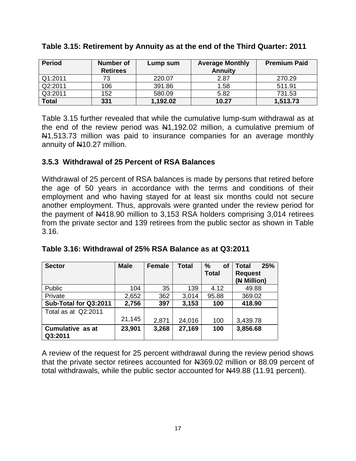| <b>Period</b>    | Number of<br><b>Retirees</b> | Lump sum | <b>Average Monthly</b><br><b>Annuity</b> | <b>Premium Paid</b> |
|------------------|------------------------------|----------|------------------------------------------|---------------------|
| $\sqrt{Q1:2011}$ | 73                           | 220.07   | 2.87                                     | 270.29              |
| Q2:2011          | 106                          | 391.86   | 1.58                                     | 511.91              |
| Q3:2011          | 152                          | 580.09   | 5.82                                     | 731.53              |
| <b>Total</b>     | 331                          | 1,192.02 | 10.27                                    | 1,513.73            |

#### <span id="page-20-1"></span>**Table 3.15: Retirement by Annuity as at the end of the Third Quarter: 2011**

Table 3.15 further revealed that while the cumulative lump-sum withdrawal as at the end of the review period was  $\frac{141}{192.02}$  million, a cumulative premium of N<sub>1</sub>,513.73 million was paid to insurance companies for an average monthly annuity of N10.27 million.

#### <span id="page-20-0"></span>**3.5.3 Withdrawal of 25 Percent of RSA Balances**

Withdrawal of 25 percent of RSA balances is made by persons that retired before the age of 50 years in accordance with the terms and conditions of their employment and who having stayed for at least six months could not secure another employment. Thus, approvals were granted under the review period for the payment of N418.90 million to 3,153 RSA holders comprising 3,014 retirees from the private sector and 139 retirees from the public sector as shown in Table 3.16.

| <b>Sector</b>         | <b>Male</b> | <b>Female</b> | <b>Total</b> | %<br>of      | 25%<br><b>Total</b> |
|-----------------------|-------------|---------------|--------------|--------------|---------------------|
|                       |             |               |              | <b>Total</b> | <b>Request</b>      |
|                       |             |               |              |              | (N Million)         |
| Public                | 104         | 35            | 139          | 4.12         | 49.88               |
| Private               | 2,652       | 362           | 3,014        | 95.88        | 369.02              |
| Sub-Total for Q3:2011 | 2,756       | 397           | 3,153        | 100          | 418.90              |
| Total as at Q2:2011   |             |               |              |              |                     |
|                       | 21,145      | 2,871         | 24,016       | 100          | 3,439.78            |
| Cumulative as at      | 23,901      | 3,268         | 27,169       | 100          | 3,856.68            |
| Q3:2011               |             |               |              |              |                     |

<span id="page-20-2"></span>

|  | Table 3.16: Withdrawal of 25% RSA Balance as at Q3:2011 |
|--|---------------------------------------------------------|
|--|---------------------------------------------------------|

A review of the request for 25 percent withdrawal during the review period shows that the private sector retirees accounted for N369.02 million or 88.09 percent of total withdrawals, while the public sector accounted for N49.88 (11.91 percent).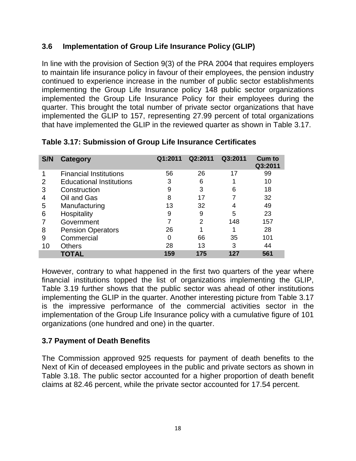#### <span id="page-21-0"></span>**3.6 Implementation of Group Life Insurance Policy (GLIP)**

In line with the provision of Section 9(3) of the PRA 2004 that requires employers to maintain life insurance policy in favour of their employees, the pension industry continued to experience increase in the number of public sector establishments implementing the Group Life Insurance policy 148 public sector organizations implemented the Group Life Insurance Policy for their employees during the quarter. This brought the total number of private sector organizations that have implemented the GLIP to 157, representing 27.99 percent of total organizations that have implemented the GLIP in the reviewed quarter as shown in Table 3.17.

| S/N | Category                        | Q1:2011 | Q2:2011 | Q3:2011 | <b>Cum to</b><br>Q3:2011 |
|-----|---------------------------------|---------|---------|---------|--------------------------|
|     | <b>Financial Institutions</b>   | 56      | 26      | 17      | 99                       |
| 2   | <b>Educational Institutions</b> | 3       | 6       |         | 10                       |
| 3   | Construction                    | 9       | 3       | 6       | 18                       |
| 4   | Oil and Gas                     | 8       | 17      |         | 32                       |
| 5   | Manufacturing                   | 13      | 32      |         | 49                       |
| 6   | Hospitality                     | 9       | 9       | 5       | 23                       |
|     | Government                      |         | 2       | 148     | 157                      |
| 8   | <b>Pension Operators</b>        | 26      |         |         | 28                       |
| 9   | Commercial                      | 0       | 66      | 35      | 101                      |
| 10  | <b>Others</b>                   | 28      | 13      | 3       | 44                       |
|     | TOTAL                           | 159     | 175     | 127     | 561                      |

<span id="page-21-2"></span>**Table 3.17: Submission of Group Life Insurance Certificates**

However, contrary to what happened in the first two quarters of the year where financial institutions topped the list of organizations implementing the GLIP, Table 3.19 further shows that the public sector was ahead of other institutions implementing the GLIP in the quarter. Another interesting picture from Table 3.17 is the impressive performance of the commercial activities sector in the implementation of the Group Life Insurance policy with a cumulative figure of 101 organizations (one hundred and one) in the quarter.

#### <span id="page-21-1"></span>**3.7 Payment of Death Benefits**

The Commission approved 925 requests for payment of death benefits to the Next of Kin of deceased employees in the public and private sectors as shown in Table 3.18. The public sector accounted for a higher proportion of death benefit claims at 82.46 percent, while the private sector accounted for 17.54 percent.